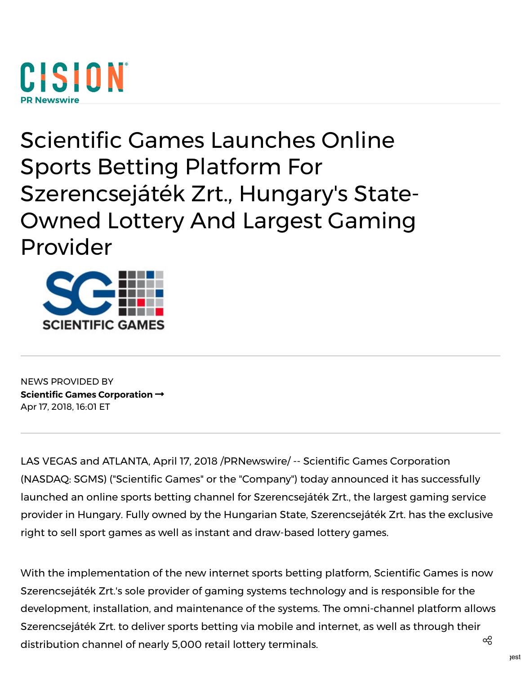# CISION

# Scientific Games Launches Online Sports Betting Platform For Szerencsejáték Zrt., Hungary's State-Owned Lottery And Largest Gaming Provider



NEWS PROVIDED BY Scientific Games [Corporation](https://www.prnewswire.com/news/scientific-games-corporation)  $\rightarrow$ Apr 17, 2018, 16:01 ET

LAS VEGAS and ATLANTA, April 17, 2018 /PRNewswire/ -- Scientific Games [Corporation](http://www.scientificgames.com/) (NASDAQ: [SGMS\)](http://studio-5.financialcontent.com/prnews?Page=Quote&Ticker=SGMS) ("Scientific Games" or the "Company") today announced it has successfully launched an online sports betting channel for Szerencsejáték Zrt., the largest gaming service provider in Hungary. Fully owned by the Hungarian State, Szerencsejáték Zrt. has the exclusive right to sell sport games as well as instant and draw-based lottery games.

With the implementation of the new internet sports betting platform, Scientific Games is now Szerencsejáték Zrt.'s sole provider of gaming systems technology and is responsible for the development, installation, and maintenance of the systems. The omni-channel platform allows Szerencsejáték Zrt. to deliver sports betting via mobile and internet, as well as through their distribution channel of nearly 5,000 retail lottery terminals.  $^{\circledR}$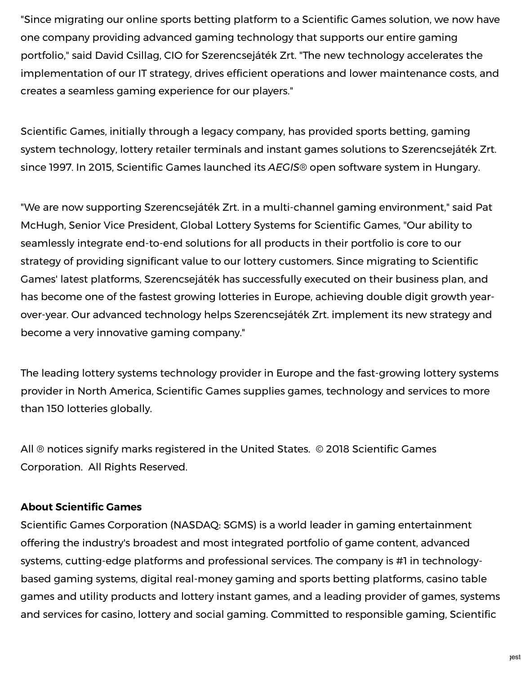"Since migrating our online sports betting platform to a Scientific Games solution, we now have one company providing advanced gaming technology that supports our entire gaming portfolio," said David Csillag, CIO for Szerencsejáték Zrt. "The new technology accelerates the implementation of our IT strategy, drives efficient operations and lower maintenance costs, and creates a seamless gaming experience for our players."

Scientific Games, initially through a legacy company, has provided sports betting, gaming system technology, lottery retailer terminals and instant games solutions to Szerencsejáték Zrt. since 1997. In 2015, Scientific Games launched its AEGIS® open software system in Hungary.

"We are now supporting Szerencsejáték Zrt. in a multi-channel gaming environment," said Pat McHugh, Senior Vice President, Global Lottery Systems for Scientific Games, "Our ability to seamlessly integrate end-to-end solutions for all products in their portfolio is core to our strategy of providing significant value to our lottery customers. Since migrating to Scientific Games' latest platforms, Szerencsejáték has successfully executed on their business plan, and has become one of the fastest growing lotteries in Europe, achieving double digit growth yearover-year. Our advanced technology helps Szerencsejáték Zrt. implement its new strategy and become a very innovative gaming company."

The leading lottery systems technology provider in Europe and the fast-growing lottery systems provider in North America, Scientific Games supplies games, technology and services to more than 150 lotteries globally.

All ® notices signify marks registered in the United States. © 2018 Scientific Games Corporation. All Rights Reserved.

## **About Scientific Games**

Scientific Games Corporation (NASDAQ: [SGMS](http://studio-5.financialcontent.com/prnews?Page=Quote&Ticker=SGMS)) is a world leader in gaming entertainment offering the industry's broadest and most integrated portfolio of game content, advanced systems, cutting-edge platforms and professional services. The company is #1 in technologybased gaming systems, digital real-money gaming and sports betting platforms, casino table games and utility products and lottery instant games, and a leading provider of games, systems and services for casino, lottery and social gaming. Committed to responsible gaming, Scientific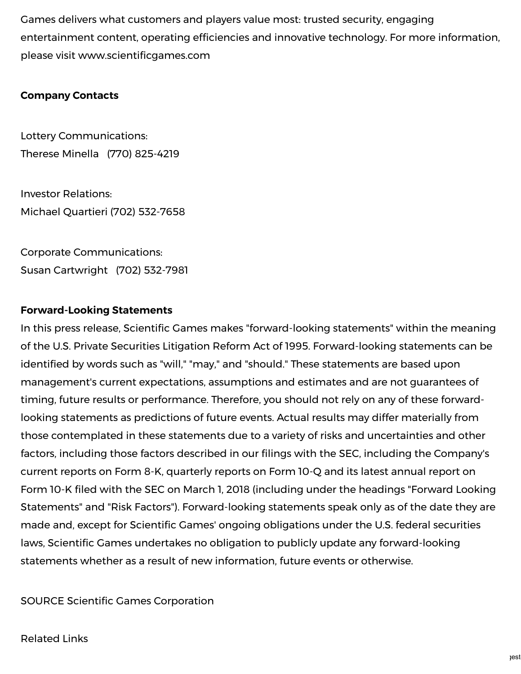Games delivers what customers and players value most: trusted security, engaging entertainment content, operating efficiencies and innovative technology. For more information, please visit www.scientificgames.com

### Company Contacts

Lottery Communications: Therese Minella (770) 825-4219

Investor Relations: Michael Quartieri (702) 532-7658

Corporate Communications: Susan Cartwright (702) 532-7981

### Forward-Looking Statements

In this press release, Scientific Games makes "forward-looking statements" within the meaning of the U.S. Private Securities Litigation Reform Act of 1995. Forward-looking statements can be identified by words such as "will," "may," and "should." These statements are based upon management's current expectations, assumptions and estimates and are not guarantees of timing, future results or performance. Therefore, you should not rely on any of these forwardlooking statements as predictions of future events. Actual results may differ materially from those contemplated in these statements due to a variety of risks and uncertainties and other factors, including those factors described in our filings with the SEC, including the Company's current reports on Form 8-K, quarterly reports on Form 10-Q and its latest annual report on Form 10-K filed with the SEC on March 1, 2018 (including under the headings "Forward Looking Statements" and "Risk Factors"). Forward-looking statements speak only as of the date they are made and, except for Scientific Games' ongoing obligations under the U.S. federal securities laws, Scientific Games undertakes no obligation to publicly update any forward-looking statements whether as a result of new information, future events or otherwise.

SOURCE Scientific Games Corporation

Related Links